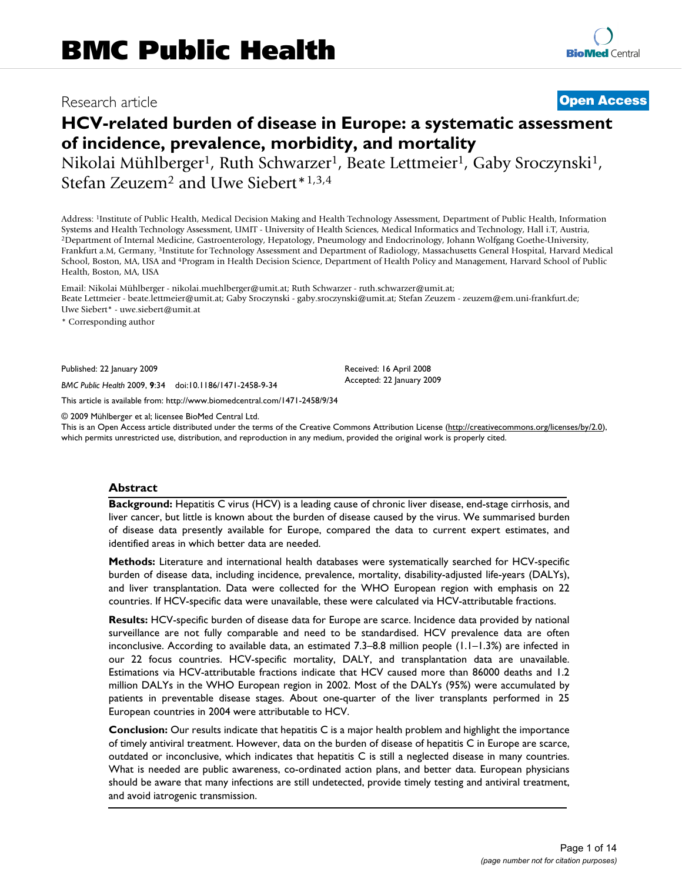# Research article **[Open Access](http://www.biomedcentral.com/info/about/charter/)**

# **HCV-related burden of disease in Europe: a systematic assessment of incidence, prevalence, morbidity, and mortality**

Nikolai Mühlberger<sup>1</sup>, Ruth Schwarzer<sup>1</sup>, Beate Lettmeier<sup>1</sup>, Gaby Sroczynski<sup>1</sup>, Stefan Zeuzem<sup>2</sup> and Uwe Siebert<sup>\*1,3,4</sup>

Address: 1Institute of Public Health, Medical Decision Making and Health Technology Assessment, Department of Public Health, Information Systems and Health Technology Assessment, UMIT - University of Health Sciences, Medical Informatics and Technology, Hall i.T, Austria, 2Department of Internal Medicine, Gastroenterology, Hepatology, Pneumology and Endocrin Frankfurt a.M, Germany, 3Institute for Technology Assessment and Department of Radiology, Massachusetts General Hospital, Harvard Medical School, Boston, MA, USA and 4Program in Health Decision Science, Department of Health Policy and Management, Harvard School of Public Health, Boston, MA, USA

Email: Nikolai Mühlberger - nikolai.muehlberger@umit.at; Ruth Schwarzer - ruth.schwarzer@umit.at; Beate Lettmeier - beate.lettmeier@umit.at; Gaby Sroczynski - gaby.sroczynski@umit.at; Stefan Zeuzem - zeuzem@em.uni-frankfurt.de; Uwe Siebert\* - uwe.siebert@umit.at

\* Corresponding author

Published: 22 January 2009

*BMC Public Health* 2009, **9**:34 doi:10.1186/1471-2458-9-34

[This article is available from: http://www.biomedcentral.com/1471-2458/9/34](http://www.biomedcentral.com/1471-2458/9/34)

© 2009 Mühlberger et al; licensee BioMed Central Ltd.

This is an Open Access article distributed under the terms of the Creative Commons Attribution License [\(http://creativecommons.org/licenses/by/2.0\)](http://creativecommons.org/licenses/by/2.0), which permits unrestricted use, distribution, and reproduction in any medium, provided the original work is properly cited.

Received: 16 April 2008 Accepted: 22 January 2009

#### **Abstract**

**Background:** Hepatitis C virus (HCV) is a leading cause of chronic liver disease, end-stage cirrhosis, and liver cancer, but little is known about the burden of disease caused by the virus. We summarised burden of disease data presently available for Europe, compared the data to current expert estimates, and identified areas in which better data are needed.

**Methods:** Literature and international health databases were systematically searched for HCV-specific burden of disease data, including incidence, prevalence, mortality, disability-adjusted life-years (DALYs), and liver transplantation. Data were collected for the WHO European region with emphasis on 22 countries. If HCV-specific data were unavailable, these were calculated via HCV-attributable fractions.

**Results:** HCV-specific burden of disease data for Europe are scarce. Incidence data provided by national surveillance are not fully comparable and need to be standardised. HCV prevalence data are often inconclusive. According to available data, an estimated 7.3–8.8 million people (1.1–1.3%) are infected in our 22 focus countries. HCV-specific mortality, DALY, and transplantation data are unavailable. Estimations via HCV-attributable fractions indicate that HCV caused more than 86000 deaths and 1.2 million DALYs in the WHO European region in 2002. Most of the DALYs (95%) were accumulated by patients in preventable disease stages. About one-quarter of the liver transplants performed in 25 European countries in 2004 were attributable to HCV.

**Conclusion:** Our results indicate that hepatitis C is a major health problem and highlight the importance of timely antiviral treatment. However, data on the burden of disease of hepatitis C in Europe are scarce, outdated or inconclusive, which indicates that hepatitis C is still a neglected disease in many countries. What is needed are public awareness, co-ordinated action plans, and better data. European physicians should be aware that many infections are still undetected, provide timely testing and antiviral treatment, and avoid iatrogenic transmission.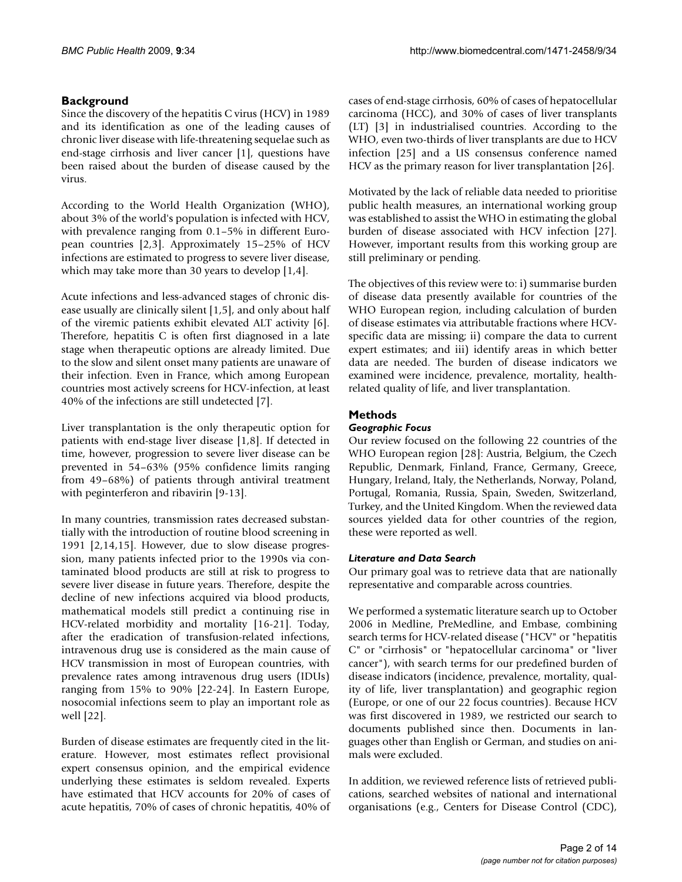# **Background**

Since the discovery of the hepatitis C virus (HCV) in 1989 and its identification as one of the leading causes of chronic liver disease with life-threatening sequelae such as end-stage cirrhosis and liver cancer [1], questions have been raised about the burden of disease caused by the virus.

According to the World Health Organization (WHO), about 3% of the world's population is infected with HCV, with prevalence ranging from 0.1–5% in different European countries [2,3]. Approximately 15–25% of HCV infections are estimated to progress to severe liver disease, which may take more than 30 years to develop [1,4].

Acute infections and less-advanced stages of chronic disease usually are clinically silent [1,5], and only about half of the viremic patients exhibit elevated ALT activity [6]. Therefore, hepatitis C is often first diagnosed in a late stage when therapeutic options are already limited. Due to the slow and silent onset many patients are unaware of their infection. Even in France, which among European countries most actively screens for HCV-infection, at least 40% of the infections are still undetected [7].

Liver transplantation is the only therapeutic option for patients with end-stage liver disease [1,8]. If detected in time, however, progression to severe liver disease can be prevented in 54–63% (95% confidence limits ranging from 49–68%) of patients through antiviral treatment with peginterferon and ribavirin [9-13].

In many countries, transmission rates decreased substantially with the introduction of routine blood screening in 1991 [2,14,15]. However, due to slow disease progression, many patients infected prior to the 1990s via contaminated blood products are still at risk to progress to severe liver disease in future years. Therefore, despite the decline of new infections acquired via blood products, mathematical models still predict a continuing rise in HCV-related morbidity and mortality [16-21]. Today, after the eradication of transfusion-related infections, intravenous drug use is considered as the main cause of HCV transmission in most of European countries, with prevalence rates among intravenous drug users (IDUs) ranging from 15% to 90% [22-24]. In Eastern Europe, nosocomial infections seem to play an important role as well [22].

Burden of disease estimates are frequently cited in the literature. However, most estimates reflect provisional expert consensus opinion, and the empirical evidence underlying these estimates is seldom revealed. Experts have estimated that HCV accounts for 20% of cases of acute hepatitis, 70% of cases of chronic hepatitis, 40% of cases of end-stage cirrhosis, 60% of cases of hepatocellular carcinoma (HCC), and 30% of cases of liver transplants (LT) [3] in industrialised countries. According to the WHO, even two-thirds of liver transplants are due to HCV infection [25] and a US consensus conference named HCV as the primary reason for liver transplantation [26].

Motivated by the lack of reliable data needed to prioritise public health measures, an international working group was established to assist the WHO in estimating the global burden of disease associated with HCV infection [27]. However, important results from this working group are still preliminary or pending.

The objectives of this review were to: i) summarise burden of disease data presently available for countries of the WHO European region, including calculation of burden of disease estimates via attributable fractions where HCVspecific data are missing; ii) compare the data to current expert estimates; and iii) identify areas in which better data are needed. The burden of disease indicators we examined were incidence, prevalence, mortality, healthrelated quality of life, and liver transplantation.

# **Methods**

# *Geographic Focus*

Our review focused on the following 22 countries of the WHO European region [28]: Austria, Belgium, the Czech Republic, Denmark, Finland, France, Germany, Greece, Hungary, Ireland, Italy, the Netherlands, Norway, Poland, Portugal, Romania, Russia, Spain, Sweden, Switzerland, Turkey, and the United Kingdom. When the reviewed data sources yielded data for other countries of the region, these were reported as well.

# *Literature and Data Search*

Our primary goal was to retrieve data that are nationally representative and comparable across countries.

We performed a systematic literature search up to October 2006 in Medline, PreMedline, and Embase, combining search terms for HCV-related disease ("HCV" or "hepatitis C" or "cirrhosis" or "hepatocellular carcinoma" or "liver cancer"), with search terms for our predefined burden of disease indicators (incidence, prevalence, mortality, quality of life, liver transplantation) and geographic region (Europe, or one of our 22 focus countries). Because HCV was first discovered in 1989, we restricted our search to documents published since then. Documents in languages other than English or German, and studies on animals were excluded.

In addition, we reviewed reference lists of retrieved publications, searched websites of national and international organisations (e.g., Centers for Disease Control (CDC),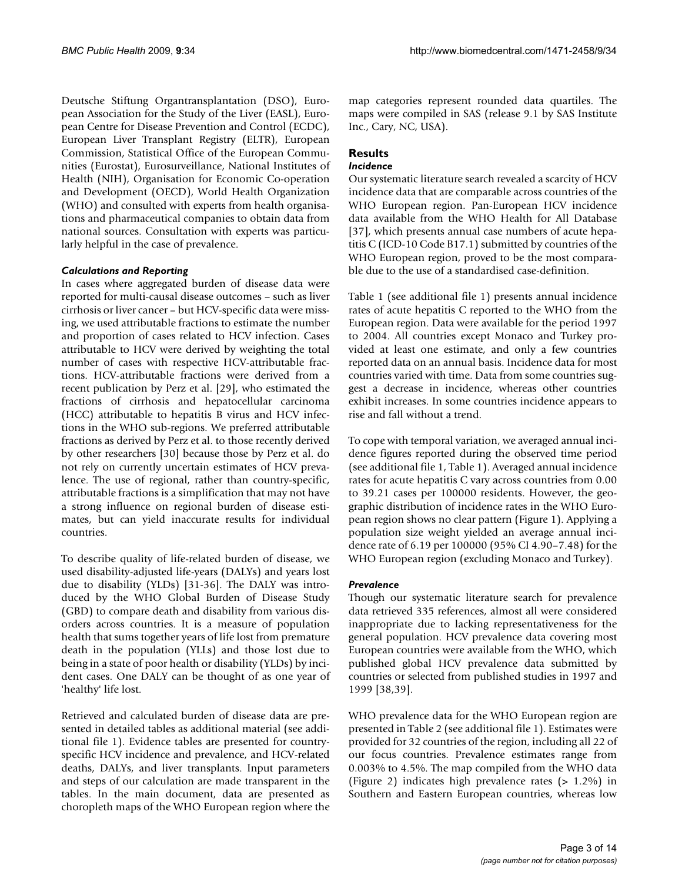Deutsche Stiftung Organtransplantation (DSO), European Association for the Study of the Liver (EASL), European Centre for Disease Prevention and Control (ECDC), European Liver Transplant Registry (ELTR), European Commission, Statistical Office of the European Communities (Eurostat), Eurosurveillance, National Institutes of Health (NIH), Organisation for Economic Co-operation and Development (OECD), World Health Organization (WHO) and consulted with experts from health organisations and pharmaceutical companies to obtain data from national sources. Consultation with experts was particularly helpful in the case of prevalence.

# *Calculations and Reporting*

In cases where aggregated burden of disease data were reported for multi-causal disease outcomes – such as liver cirrhosis or liver cancer – but HCV-specific data were missing, we used attributable fractions to estimate the number and proportion of cases related to HCV infection. Cases attributable to HCV were derived by weighting the total number of cases with respective HCV-attributable fractions. HCV-attributable fractions were derived from a recent publication by Perz et al. [29], who estimated the fractions of cirrhosis and hepatocellular carcinoma (HCC) attributable to hepatitis B virus and HCV infections in the WHO sub-regions. We preferred attributable fractions as derived by Perz et al. to those recently derived by other researchers [30] because those by Perz et al. do not rely on currently uncertain estimates of HCV prevalence. The use of regional, rather than country-specific, attributable fractions is a simplification that may not have a strong influence on regional burden of disease estimates, but can yield inaccurate results for individual countries.

To describe quality of life-related burden of disease, we used disability-adjusted life-years (DALYs) and years lost due to disability (YLDs) [31-36]. The DALY was introduced by the WHO Global Burden of Disease Study (GBD) to compare death and disability from various disorders across countries. It is a measure of population health that sums together years of life lost from premature death in the population (YLLs) and those lost due to being in a state of poor health or disability (YLDs) by incident cases. One DALY can be thought of as one year of 'healthy' life lost.

Retrieved and calculated burden of disease data are presented in detailed tables as additional material (see additional file 1). Evidence tables are presented for countryspecific HCV incidence and prevalence, and HCV-related deaths, DALYs, and liver transplants. Input parameters and steps of our calculation are made transparent in the tables. In the main document, data are presented as choropleth maps of the WHO European region where the map categories represent rounded data quartiles. The maps were compiled in SAS (release 9.1 by SAS Institute Inc., Cary, NC, USA).

# **Results**

# *Incidence*

Our systematic literature search revealed a scarcity of HCV incidence data that are comparable across countries of the WHO European region. Pan-European HCV incidence data available from the WHO Health for All Database [37], which presents annual case numbers of acute hepatitis C (ICD-10 Code B17.1) submitted by countries of the WHO European region, proved to be the most comparable due to the use of a standardised case-definition.

Table 1 (see additional file 1) presents annual incidence rates of acute hepatitis C reported to the WHO from the European region. Data were available for the period 1997 to 2004. All countries except Monaco and Turkey provided at least one estimate, and only a few countries reported data on an annual basis. Incidence data for most countries varied with time. Data from some countries suggest a decrease in incidence, whereas other countries exhibit increases. In some countries incidence appears to rise and fall without a trend.

To cope with temporal variation, we averaged annual incidence figures reported during the observed time period (see additional file 1, Table 1). Averaged annual incidence rates for acute hepatitis C vary across countries from 0.00 to 39.21 cases per 100000 residents. However, the geographic distribution of incidence rates in the WHO European region shows no clear pattern (Figure 1). Applying a population size weight yielded an average annual incidence rate of 6.19 per 100000 (95% CI 4.90–7.48) for the WHO European region (excluding Monaco and Turkey).

#### *Prevalence*

Though our systematic literature search for prevalence data retrieved 335 references, almost all were considered inappropriate due to lacking representativeness for the general population. HCV prevalence data covering most European countries were available from the WHO, which published global HCV prevalence data submitted by countries or selected from published studies in 1997 and 1999 [38,39].

WHO prevalence data for the WHO European region are presented in Table 2 (see additional file 1). Estimates were provided for 32 countries of the region, including all 22 of our focus countries. Prevalence estimates range from 0.003% to 4.5%. The map compiled from the WHO data (Figure 2) indicates high prevalence rates (> 1.2%) in Southern and Eastern European countries, whereas low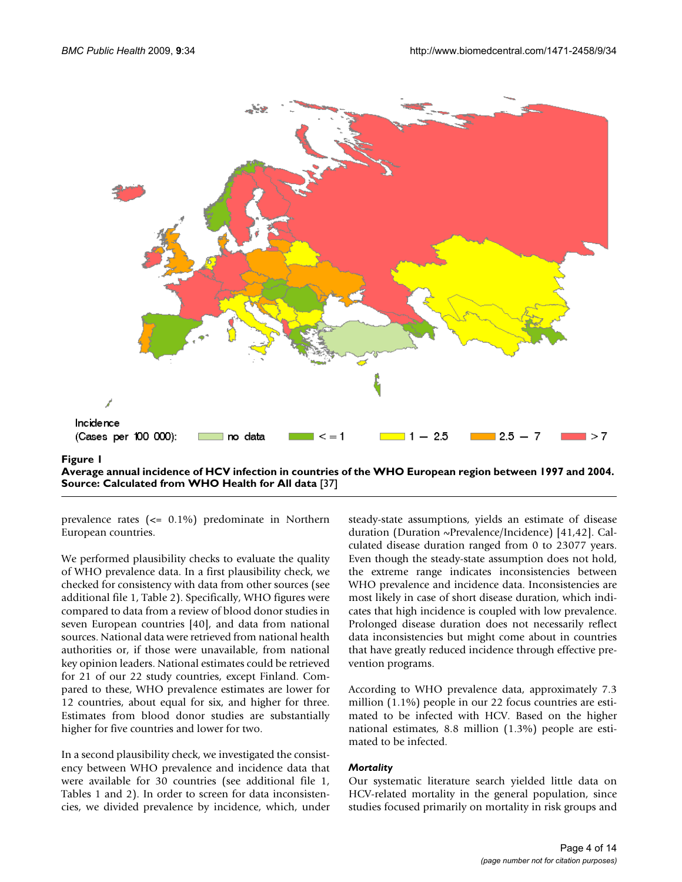

Average annual incidence of HCV infection in countri **Figure 1** es of the WHO European region between 1997 and 2004

**Average annual incidence of HCV infection in countries of the WHO European region between 1997 and 2004. Source: Calculated from WHO Health for All data** [37]

prevalence rates (<= 0.1%) predominate in Northern European countries.

We performed plausibility checks to evaluate the quality of WHO prevalence data. In a first plausibility check, we checked for consistency with data from other sources (see additional file 1, Table 2). Specifically, WHO figures were compared to data from a review of blood donor studies in seven European countries [40], and data from national sources. National data were retrieved from national health authorities or, if those were unavailable, from national key opinion leaders. National estimates could be retrieved for 21 of our 22 study countries, except Finland. Compared to these, WHO prevalence estimates are lower for 12 countries, about equal for six, and higher for three. Estimates from blood donor studies are substantially higher for five countries and lower for two.

In a second plausibility check, we investigated the consistency between WHO prevalence and incidence data that were available for 30 countries (see additional file 1, Tables 1 and 2). In order to screen for data inconsistencies, we divided prevalence by incidence, which, under steady-state assumptions, yields an estimate of disease duration (Duration ~Prevalence/Incidence) [41,42]. Calculated disease duration ranged from 0 to 23077 years. Even though the steady-state assumption does not hold, the extreme range indicates inconsistencies between WHO prevalence and incidence data. Inconsistencies are most likely in case of short disease duration, which indicates that high incidence is coupled with low prevalence. Prolonged disease duration does not necessarily reflect data inconsistencies but might come about in countries that have greatly reduced incidence through effective prevention programs.

According to WHO prevalence data, approximately 7.3 million (1.1%) people in our 22 focus countries are estimated to be infected with HCV. Based on the higher national estimates, 8.8 million (1.3%) people are estimated to be infected.

# *Mortality*

Our systematic literature search yielded little data on HCV-related mortality in the general population, since studies focused primarily on mortality in risk groups and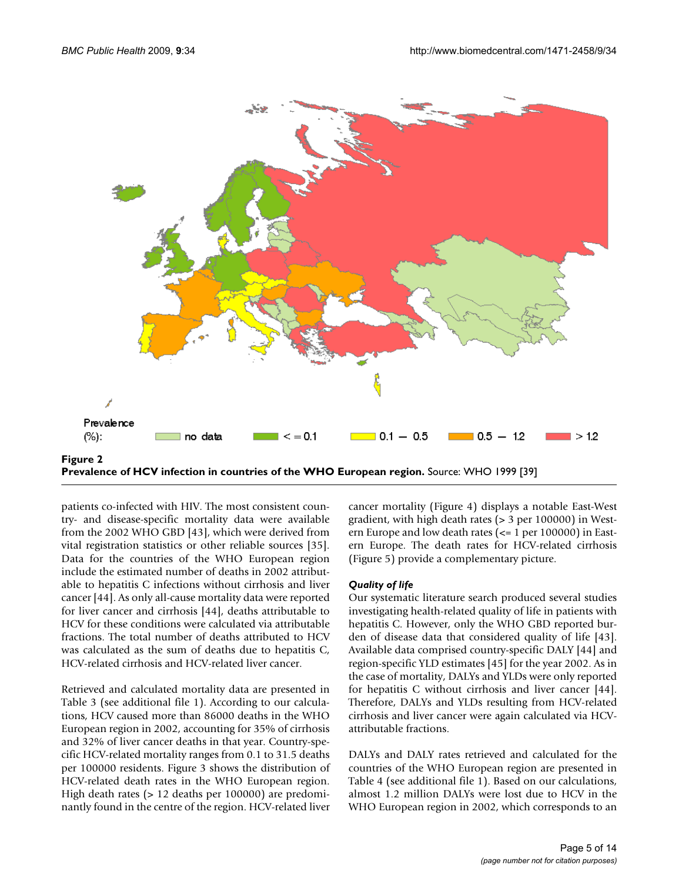

patients co-infected with HIV. The most consistent country- and disease-specific mortality data were available from the 2002 WHO GBD [43], which were derived from vital registration statistics or other reliable sources [35]. Data for the countries of the WHO European region include the estimated number of deaths in 2002 attributable to hepatitis C infections without cirrhosis and liver cancer [44]. As only all-cause mortality data were reported for liver cancer and cirrhosis [44], deaths attributable to HCV for these conditions were calculated via attributable fractions. The total number of deaths attributed to HCV was calculated as the sum of deaths due to hepatitis C, HCV-related cirrhosis and HCV-related liver cancer.

Retrieved and calculated mortality data are presented in Table 3 (see additional file 1). According to our calculations, HCV caused more than 86000 deaths in the WHO European region in 2002, accounting for 35% of cirrhosis and 32% of liver cancer deaths in that year. Country-specific HCV-related mortality ranges from 0.1 to 31.5 deaths per 100000 residents. Figure 3 shows the distribution of HCV-related death rates in the WHO European region. High death rates (> 12 deaths per 100000) are predominantly found in the centre of the region. HCV-related liver cancer mortality (Figure 4) displays a notable East-West gradient, with high death rates (> 3 per 100000) in Western Europe and low death rates (<= 1 per 100000) in Eastern Europe. The death rates for HCV-related cirrhosis (Figure 5) provide a complementary picture.

# *Quality of life*

Our systematic literature search produced several studies investigating health-related quality of life in patients with hepatitis C. However, only the WHO GBD reported burden of disease data that considered quality of life [43]. Available data comprised country-specific DALY [44] and region-specific YLD estimates [45] for the year 2002. As in the case of mortality, DALYs and YLDs were only reported for hepatitis C without cirrhosis and liver cancer [44]. Therefore, DALYs and YLDs resulting from HCV-related cirrhosis and liver cancer were again calculated via HCVattributable fractions.

DALYs and DALY rates retrieved and calculated for the countries of the WHO European region are presented in Table 4 (see additional file 1). Based on our calculations, almost 1.2 million DALYs were lost due to HCV in the WHO European region in 2002, which corresponds to an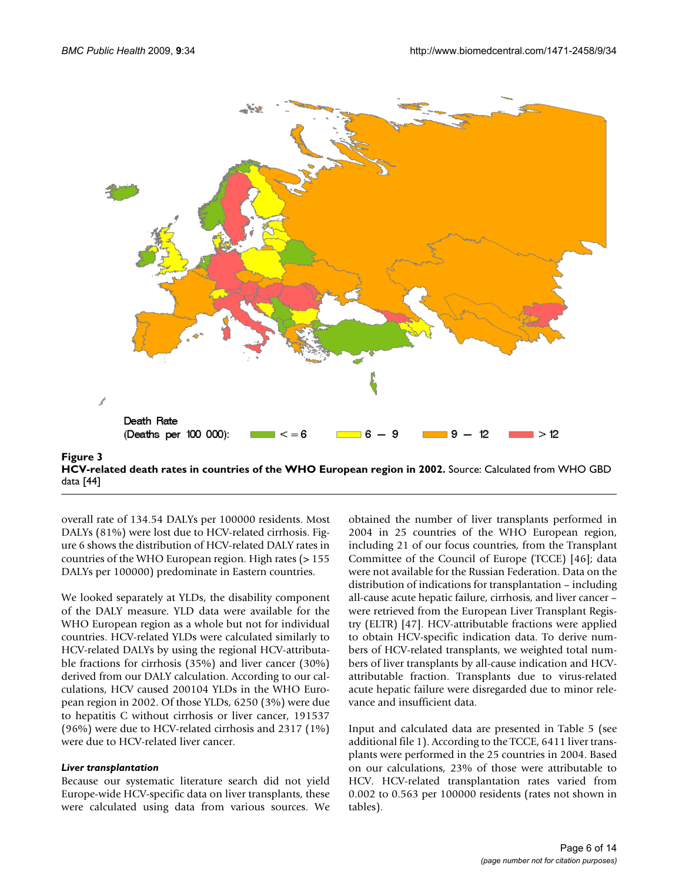

**HCV-related death rates in countries of the WHO European region in 2002.** Source: Calculated from WHO GBD data [44]

overall rate of 134.54 DALYs per 100000 residents. Most DALYs (81%) were lost due to HCV-related cirrhosis. Figure 6 shows the distribution of HCV-related DALY rates in countries of the WHO European region. High rates (> 155 DALYs per 100000) predominate in Eastern countries.

We looked separately at YLDs, the disability component of the DALY measure. YLD data were available for the WHO European region as a whole but not for individual countries. HCV-related YLDs were calculated similarly to HCV-related DALYs by using the regional HCV-attributable fractions for cirrhosis (35%) and liver cancer (30%) derived from our DALY calculation. According to our calculations, HCV caused 200104 YLDs in the WHO European region in 2002. Of those YLDs, 6250 (3%) were due to hepatitis C without cirrhosis or liver cancer, 191537 (96%) were due to HCV-related cirrhosis and 2317 (1%) were due to HCV-related liver cancer.

#### *Liver transplantation*

Because our systematic literature search did not yield Europe-wide HCV-specific data on liver transplants, these were calculated using data from various sources. We obtained the number of liver transplants performed in 2004 in 25 countries of the WHO European region, including 21 of our focus countries, from the Transplant Committee of the Council of Europe (TCCE) [46]; data were not available for the Russian Federation. Data on the distribution of indications for transplantation – including all-cause acute hepatic failure, cirrhosis, and liver cancer – were retrieved from the European Liver Transplant Registry (ELTR) [47]. HCV-attributable fractions were applied to obtain HCV-specific indication data. To derive numbers of HCV-related transplants, we weighted total numbers of liver transplants by all-cause indication and HCVattributable fraction. Transplants due to virus-related acute hepatic failure were disregarded due to minor relevance and insufficient data.

Input and calculated data are presented in Table 5 (see additional file 1). According to the TCCE, 6411 liver transplants were performed in the 25 countries in 2004. Based on our calculations, 23% of those were attributable to HCV. HCV-related transplantation rates varied from 0.002 to 0.563 per 100000 residents (rates not shown in tables).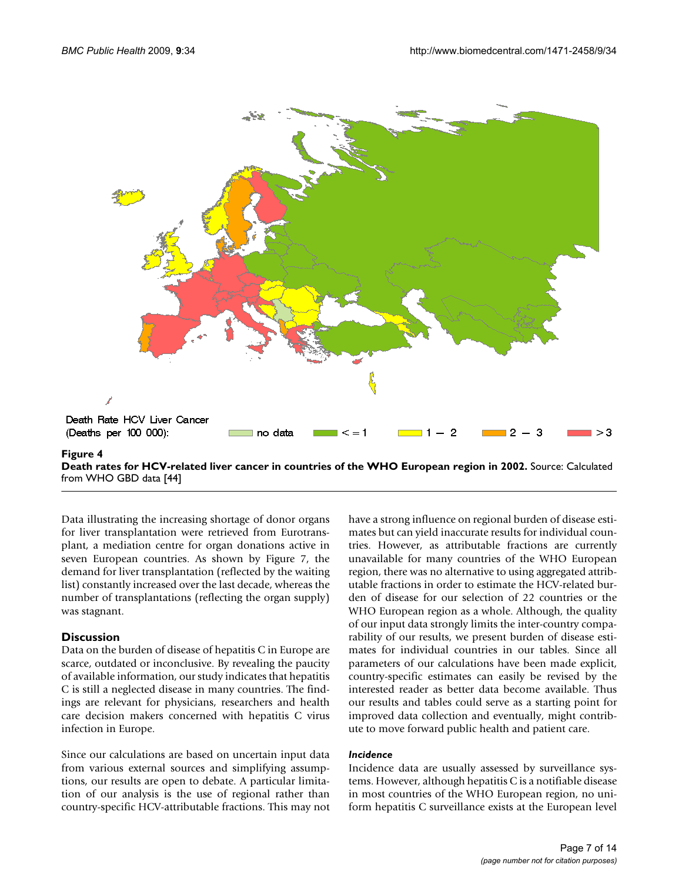

**Death rates for HCV-related liver cancer in countries of the WHO European region in 2002.** Source: Calculated from WHO GBD data [44]

Data illustrating the increasing shortage of donor organs for liver transplantation were retrieved from Eurotransplant, a mediation centre for organ donations active in seven European countries. As shown by Figure 7, the demand for liver transplantation (reflected by the waiting list) constantly increased over the last decade, whereas the number of transplantations (reflecting the organ supply) was stagnant.

# **Discussion**

Data on the burden of disease of hepatitis C in Europe are scarce, outdated or inconclusive. By revealing the paucity of available information, our study indicates that hepatitis C is still a neglected disease in many countries. The findings are relevant for physicians, researchers and health care decision makers concerned with hepatitis C virus infection in Europe.

Since our calculations are based on uncertain input data from various external sources and simplifying assumptions, our results are open to debate. A particular limitation of our analysis is the use of regional rather than country-specific HCV-attributable fractions. This may not have a strong influence on regional burden of disease estimates but can yield inaccurate results for individual countries. However, as attributable fractions are currently unavailable for many countries of the WHO European region, there was no alternative to using aggregated attributable fractions in order to estimate the HCV-related burden of disease for our selection of 22 countries or the WHO European region as a whole. Although, the quality of our input data strongly limits the inter-country comparability of our results, we present burden of disease estimates for individual countries in our tables. Since all parameters of our calculations have been made explicit, country-specific estimates can easily be revised by the interested reader as better data become available. Thus our results and tables could serve as a starting point for improved data collection and eventually, might contribute to move forward public health and patient care.

# *Incidence*

Incidence data are usually assessed by surveillance systems. However, although hepatitis C is a notifiable disease in most countries of the WHO European region, no uniform hepatitis C surveillance exists at the European level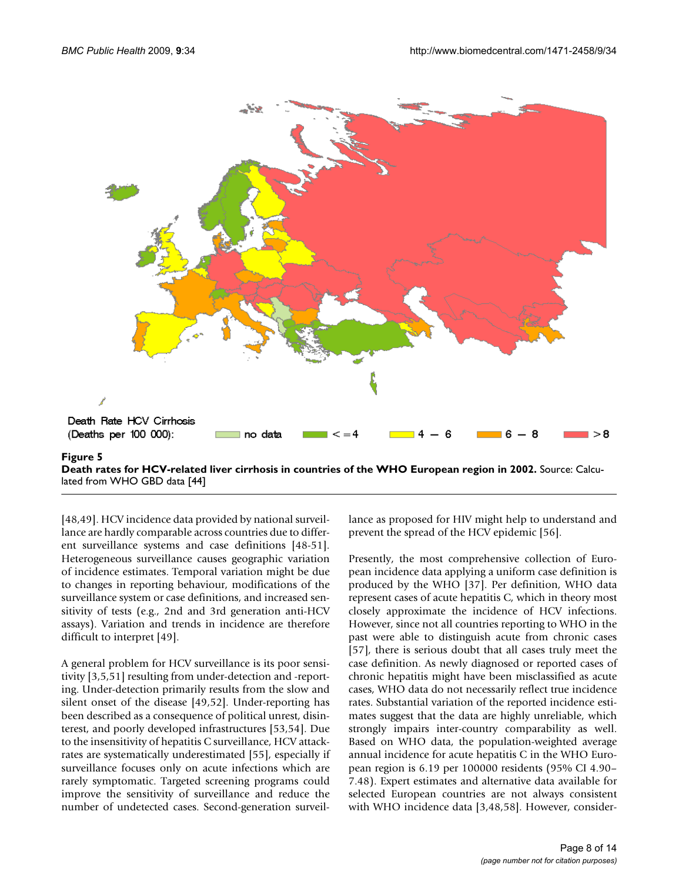

**Death rates for HCV-related liver cirrhosis in countries of the WHO European region in 2002.** Source: Calculated from WHO GBD data [44]

[48,49]. HCV incidence data provided by national surveillance are hardly comparable across countries due to different surveillance systems and case definitions [48-51]. Heterogeneous surveillance causes geographic variation of incidence estimates. Temporal variation might be due to changes in reporting behaviour, modifications of the surveillance system or case definitions, and increased sensitivity of tests (e.g., 2nd and 3rd generation anti-HCV assays). Variation and trends in incidence are therefore difficult to interpret [49].

A general problem for HCV surveillance is its poor sensitivity [3,5,51] resulting from under-detection and -reporting. Under-detection primarily results from the slow and silent onset of the disease [49,52]. Under-reporting has been described as a consequence of political unrest, disinterest, and poorly developed infrastructures [53,54]. Due to the insensitivity of hepatitis C surveillance, HCV attackrates are systematically underestimated [55], especially if surveillance focuses only on acute infections which are rarely symptomatic. Targeted screening programs could improve the sensitivity of surveillance and reduce the number of undetected cases. Second-generation surveillance as proposed for HIV might help to understand and prevent the spread of the HCV epidemic [56].

Presently, the most comprehensive collection of European incidence data applying a uniform case definition is produced by the WHO [37]. Per definition, WHO data represent cases of acute hepatitis C, which in theory most closely approximate the incidence of HCV infections. However, since not all countries reporting to WHO in the past were able to distinguish acute from chronic cases [57], there is serious doubt that all cases truly meet the case definition. As newly diagnosed or reported cases of chronic hepatitis might have been misclassified as acute cases, WHO data do not necessarily reflect true incidence rates. Substantial variation of the reported incidence estimates suggest that the data are highly unreliable, which strongly impairs inter-country comparability as well. Based on WHO data, the population-weighted average annual incidence for acute hepatitis C in the WHO European region is 6.19 per 100000 residents (95% CI 4.90– 7.48). Expert estimates and alternative data available for selected European countries are not always consistent with WHO incidence data [3,48,58]. However, consider-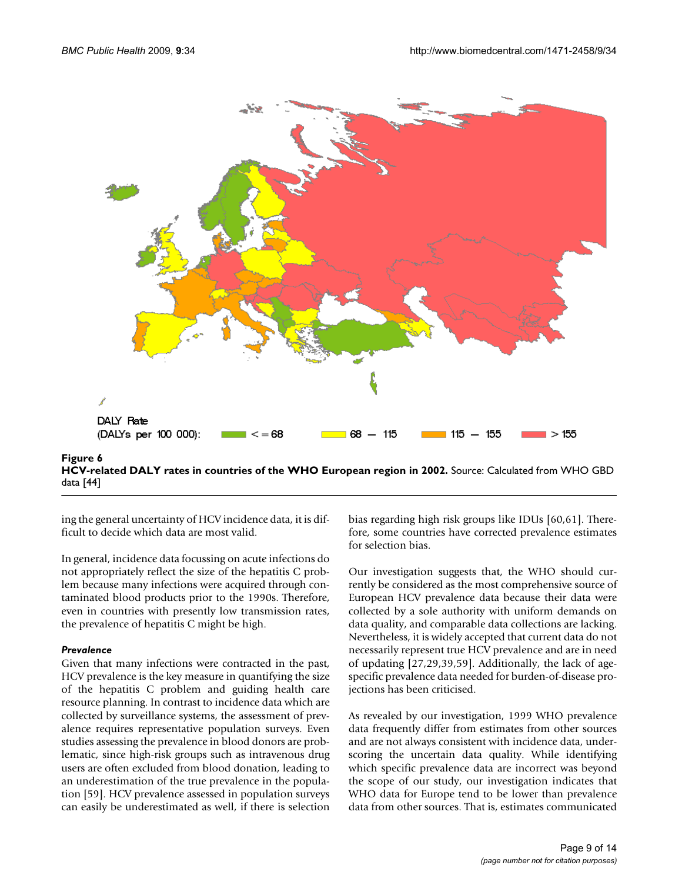

### HCV-related DALY rates in countries of the WHO European region in 2002 **Figure 6 HCV-related DALY rates in countries of the WHO European region in 2002.** Source: Calculated from WHO GBD data [44]

ing the general uncertainty of HCV incidence data, it is difficult to decide which data are most valid.

In general, incidence data focussing on acute infections do not appropriately reflect the size of the hepatitis C problem because many infections were acquired through contaminated blood products prior to the 1990s. Therefore, even in countries with presently low transmission rates, the prevalence of hepatitis C might be high.

# *Prevalence*

Given that many infections were contracted in the past, HCV prevalence is the key measure in quantifying the size of the hepatitis C problem and guiding health care resource planning. In contrast to incidence data which are collected by surveillance systems, the assessment of prevalence requires representative population surveys. Even studies assessing the prevalence in blood donors are problematic, since high-risk groups such as intravenous drug users are often excluded from blood donation, leading to an underestimation of the true prevalence in the population [59]. HCV prevalence assessed in population surveys can easily be underestimated as well, if there is selection

bias regarding high risk groups like IDUs [60,61]. Therefore, some countries have corrected prevalence estimates for selection bias.

Our investigation suggests that, the WHO should currently be considered as the most comprehensive source of European HCV prevalence data because their data were collected by a sole authority with uniform demands on data quality, and comparable data collections are lacking. Nevertheless, it is widely accepted that current data do not necessarily represent true HCV prevalence and are in need of updating [27,29,39,59]. Additionally, the lack of agespecific prevalence data needed for burden-of-disease projections has been criticised.

As revealed by our investigation, 1999 WHO prevalence data frequently differ from estimates from other sources and are not always consistent with incidence data, underscoring the uncertain data quality. While identifying which specific prevalence data are incorrect was beyond the scope of our study, our investigation indicates that WHO data for Europe tend to be lower than prevalence data from other sources. That is, estimates communicated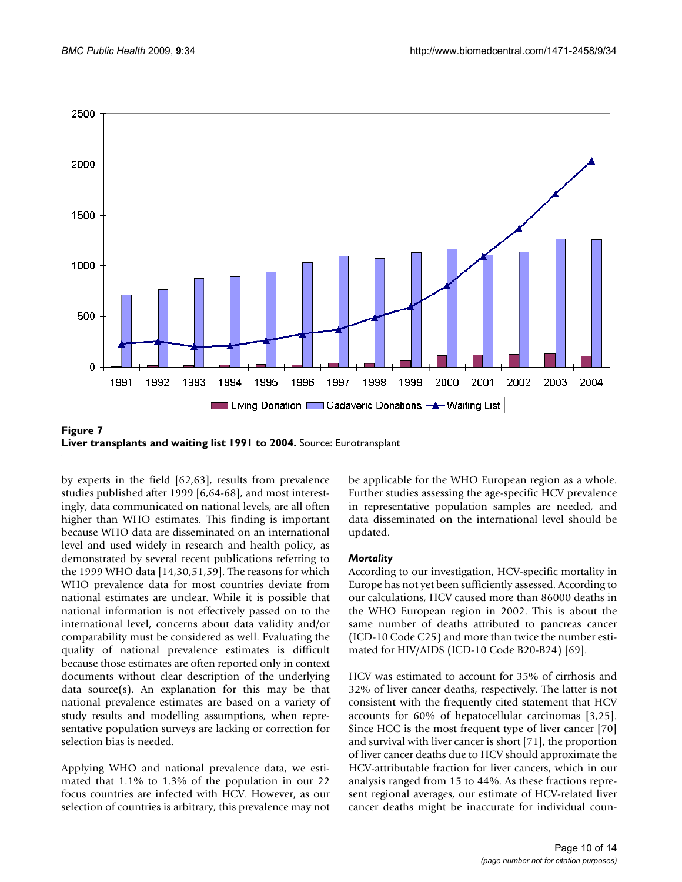

by experts in the field [62,63], results from prevalence studies published after 1999 [6,64-68], and most interestingly, data communicated on national levels, are all often higher than WHO estimates. This finding is important because WHO data are disseminated on an international level and used widely in research and health policy, as demonstrated by several recent publications referring to the 1999 WHO data [14,30,51,59]. The reasons for which WHO prevalence data for most countries deviate from national estimates are unclear. While it is possible that national information is not effectively passed on to the international level, concerns about data validity and/or comparability must be considered as well. Evaluating the quality of national prevalence estimates is difficult because those estimates are often reported only in context documents without clear description of the underlying data source(s). An explanation for this may be that national prevalence estimates are based on a variety of study results and modelling assumptions, when representative population surveys are lacking or correction for selection bias is needed.

Applying WHO and national prevalence data, we estimated that 1.1% to 1.3% of the population in our 22 focus countries are infected with HCV. However, as our selection of countries is arbitrary, this prevalence may not

be applicable for the WHO European region as a whole. Further studies assessing the age-specific HCV prevalence in representative population samples are needed, and data disseminated on the international level should be updated.

# *Mortality*

According to our investigation, HCV-specific mortality in Europe has not yet been sufficiently assessed. According to our calculations, HCV caused more than 86000 deaths in the WHO European region in 2002. This is about the same number of deaths attributed to pancreas cancer (ICD-10 Code C25) and more than twice the number estimated for HIV/AIDS (ICD-10 Code B20-B24) [69].

HCV was estimated to account for 35% of cirrhosis and 32% of liver cancer deaths, respectively. The latter is not consistent with the frequently cited statement that HCV accounts for 60% of hepatocellular carcinomas [3,25]. Since HCC is the most frequent type of liver cancer [70] and survival with liver cancer is short [71], the proportion of liver cancer deaths due to HCV should approximate the HCV-attributable fraction for liver cancers, which in our analysis ranged from 15 to 44%. As these fractions represent regional averages, our estimate of HCV-related liver cancer deaths might be inaccurate for individual coun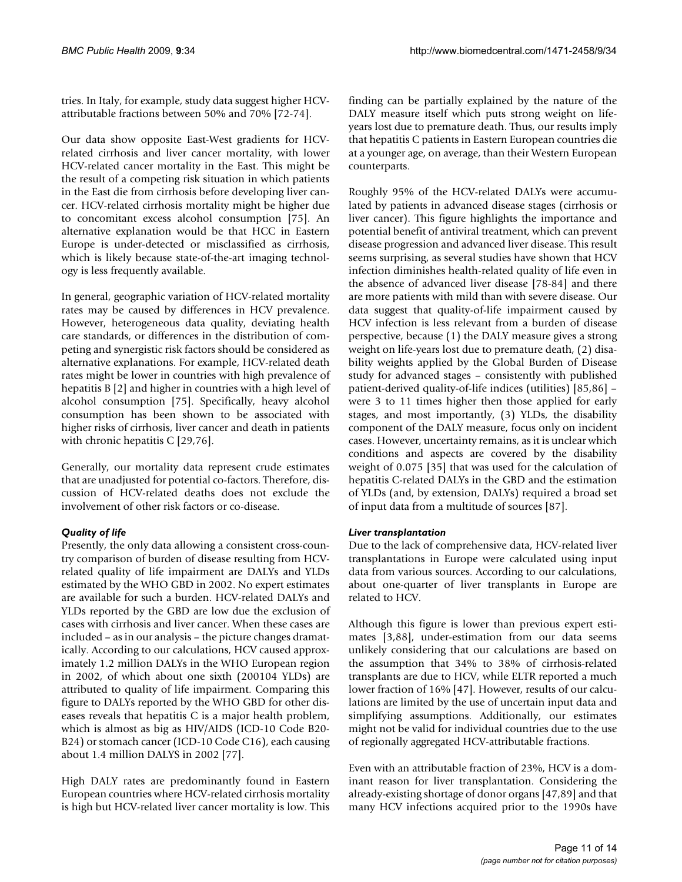tries. In Italy, for example, study data suggest higher HCVattributable fractions between 50% and 70% [72-74].

Our data show opposite East-West gradients for HCVrelated cirrhosis and liver cancer mortality, with lower HCV-related cancer mortality in the East. This might be the result of a competing risk situation in which patients in the East die from cirrhosis before developing liver cancer. HCV-related cirrhosis mortality might be higher due to concomitant excess alcohol consumption [75]. An alternative explanation would be that HCC in Eastern Europe is under-detected or misclassified as cirrhosis, which is likely because state-of-the-art imaging technology is less frequently available.

In general, geographic variation of HCV-related mortality rates may be caused by differences in HCV prevalence. However, heterogeneous data quality, deviating health care standards, or differences in the distribution of competing and synergistic risk factors should be considered as alternative explanations. For example, HCV-related death rates might be lower in countries with high prevalence of hepatitis B [2] and higher in countries with a high level of alcohol consumption [75]. Specifically, heavy alcohol consumption has been shown to be associated with higher risks of cirrhosis, liver cancer and death in patients with chronic hepatitis C [29,76].

Generally, our mortality data represent crude estimates that are unadjusted for potential co-factors. Therefore, discussion of HCV-related deaths does not exclude the involvement of other risk factors or co-disease.

# *Quality of life*

Presently, the only data allowing a consistent cross-country comparison of burden of disease resulting from HCVrelated quality of life impairment are DALYs and YLDs estimated by the WHO GBD in 2002. No expert estimates are available for such a burden. HCV-related DALYs and YLDs reported by the GBD are low due the exclusion of cases with cirrhosis and liver cancer. When these cases are included – as in our analysis – the picture changes dramatically. According to our calculations, HCV caused approximately 1.2 million DALYs in the WHO European region in 2002, of which about one sixth (200104 YLDs) are attributed to quality of life impairment. Comparing this figure to DALYs reported by the WHO GBD for other diseases reveals that hepatitis C is a major health problem, which is almost as big as HIV/AIDS (ICD-10 Code B20- B24) or stomach cancer (ICD-10 Code C16), each causing about 1.4 million DALYS in 2002 [77].

High DALY rates are predominantly found in Eastern European countries where HCV-related cirrhosis mortality is high but HCV-related liver cancer mortality is low. This finding can be partially explained by the nature of the DALY measure itself which puts strong weight on lifeyears lost due to premature death. Thus, our results imply that hepatitis C patients in Eastern European countries die at a younger age, on average, than their Western European counterparts.

Roughly 95% of the HCV-related DALYs were accumulated by patients in advanced disease stages (cirrhosis or liver cancer). This figure highlights the importance and potential benefit of antiviral treatment, which can prevent disease progression and advanced liver disease. This result seems surprising, as several studies have shown that HCV infection diminishes health-related quality of life even in the absence of advanced liver disease [78-84] and there are more patients with mild than with severe disease. Our data suggest that quality-of-life impairment caused by HCV infection is less relevant from a burden of disease perspective, because (1) the DALY measure gives a strong weight on life-years lost due to premature death, (2) disability weights applied by the Global Burden of Disease study for advanced stages – consistently with published patient-derived quality-of-life indices (utilities) [85,86] – were 3 to 11 times higher then those applied for early stages, and most importantly, (3) YLDs, the disability component of the DALY measure, focus only on incident cases. However, uncertainty remains, as it is unclear which conditions and aspects are covered by the disability weight of 0.075 [35] that was used for the calculation of hepatitis C-related DALYs in the GBD and the estimation of YLDs (and, by extension, DALYs) required a broad set of input data from a multitude of sources [87].

# *Liver transplantation*

Due to the lack of comprehensive data, HCV-related liver transplantations in Europe were calculated using input data from various sources. According to our calculations, about one-quarter of liver transplants in Europe are related to HCV.

Although this figure is lower than previous expert estimates [3,88], under-estimation from our data seems unlikely considering that our calculations are based on the assumption that 34% to 38% of cirrhosis-related transplants are due to HCV, while ELTR reported a much lower fraction of 16% [47]. However, results of our calculations are limited by the use of uncertain input data and simplifying assumptions. Additionally, our estimates might not be valid for individual countries due to the use of regionally aggregated HCV-attributable fractions.

Even with an attributable fraction of 23%, HCV is a dominant reason for liver transplantation. Considering the already-existing shortage of donor organs [47,89] and that many HCV infections acquired prior to the 1990s have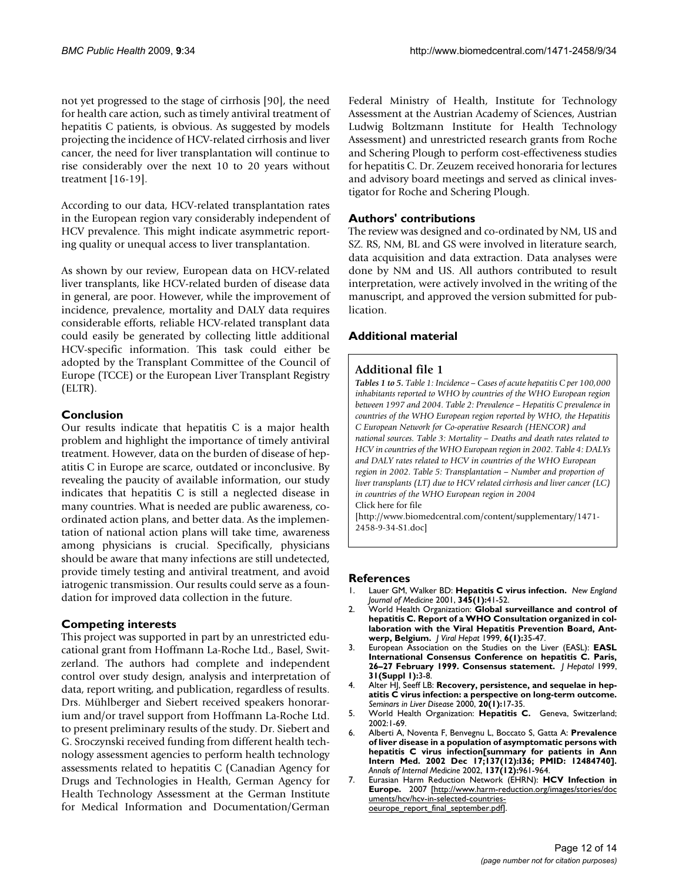not yet progressed to the stage of cirrhosis [90], the need for health care action, such as timely antiviral treatment of hepatitis C patients, is obvious. As suggested by models projecting the incidence of HCV-related cirrhosis and liver cancer, the need for liver transplantation will continue to rise considerably over the next 10 to 20 years without treatment [16-19].

According to our data, HCV-related transplantation rates in the European region vary considerably independent of HCV prevalence. This might indicate asymmetric reporting quality or unequal access to liver transplantation.

As shown by our review, European data on HCV-related liver transplants, like HCV-related burden of disease data in general, are poor. However, while the improvement of incidence, prevalence, mortality and DALY data requires considerable efforts, reliable HCV-related transplant data could easily be generated by collecting little additional HCV-specific information. This task could either be adopted by the Transplant Committee of the Council of Europe (TCCE) or the European Liver Transplant Registry (ELTR).

# **Conclusion**

Our results indicate that hepatitis C is a major health problem and highlight the importance of timely antiviral treatment. However, data on the burden of disease of hepatitis C in Europe are scarce, outdated or inconclusive. By revealing the paucity of available information, our study indicates that hepatitis C is still a neglected disease in many countries. What is needed are public awareness, coordinated action plans, and better data. As the implementation of national action plans will take time, awareness among physicians is crucial. Specifically, physicians should be aware that many infections are still undetected, provide timely testing and antiviral treatment, and avoid iatrogenic transmission. Our results could serve as a foundation for improved data collection in the future.

# **Competing interests**

This project was supported in part by an unrestricted educational grant from Hoffmann La-Roche Ltd., Basel, Switzerland. The authors had complete and independent control over study design, analysis and interpretation of data, report writing, and publication, regardless of results. Drs. Mühlberger and Siebert received speakers honorarium and/or travel support from Hoffmann La-Roche Ltd. to present preliminary results of the study. Dr. Siebert and G. Sroczynski received funding from different health technology assessment agencies to perform health technology assessments related to hepatitis C (Canadian Agency for Drugs and Technologies in Health, German Agency for Health Technology Assessment at the German Institute for Medical Information and Documentation/German Federal Ministry of Health, Institute for Technology Assessment at the Austrian Academy of Sciences, Austrian Ludwig Boltzmann Institute for Health Technology Assessment) and unrestricted research grants from Roche and Schering Plough to perform cost-effectiveness studies for hepatitis C. Dr. Zeuzem received honoraria for lectures and advisory board meetings and served as clinical investigator for Roche and Schering Plough.

# **Authors' contributions**

The review was designed and co-ordinated by NM, US and SZ. RS, NM, BL and GS were involved in literature search, data acquisition and data extraction. Data analyses were done by NM and US. All authors contributed to result interpretation, were actively involved in the writing of the manuscript, and approved the version submitted for publication.

# **Additional material**

# **Additional file 1**

*Tables 1 to 5. Table 1: Incidence – Cases of acute hepatitis C per 100,000 inhabitants reported to WHO by countries of the WHO European region between 1997 and 2004. Table 2: Prevalence – Hepatitis C prevalence in countries of the WHO European region reported by WHO, the Hepatitis C European Network for Co-operative Research (HENCOR) and national sources. Table 3: Mortality – Deaths and death rates related to HCV in countries of the WHO European region in 2002. Table 4: DALYs and DALY rates related to HCV in countries of the WHO European region in 2002. Table 5: Transplantation – Number and proportion of liver transplants (LT) due to HCV related cirrhosis and liver cancer (LC) in countries of the WHO European region in 2004* Click here for file

[\[http://www.biomedcentral.com/content/supplementary/1471-](http://www.biomedcentral.com/content/supplementary/1471-2458-9-34-S1.doc) 2458-9-34-S1.doc]

#### **References**

- 1. Lauer GM, Walker BD: **[Hepatitis C virus infection.](http://www.ncbi.nlm.nih.gov/entrez/query.fcgi?cmd=Retrieve&db=PubMed&dopt=Abstract&list_uids=11439948)** *New England Journal of Medicine* 2001, **345(1):**41-52.
- 2. World Health Organization: **[Global surveillance and control of](http://www.ncbi.nlm.nih.gov/entrez/query.fcgi?cmd=Retrieve&db=PubMed&dopt=Abstract&list_uids=10847128) [hepatitis C. Report of a WHO Consultation organized in col](http://www.ncbi.nlm.nih.gov/entrez/query.fcgi?cmd=Retrieve&db=PubMed&dopt=Abstract&list_uids=10847128)laboration with the Viral Hepatitis Prevention Board, Ant[werp, Belgium.](http://www.ncbi.nlm.nih.gov/entrez/query.fcgi?cmd=Retrieve&db=PubMed&dopt=Abstract&list_uids=10847128)** *J Viral Hepat* 1999, **6(1):**35-47.
- 3. European Association on the Studies on the Liver (EASL): **[EASL](http://www.ncbi.nlm.nih.gov/entrez/query.fcgi?cmd=Retrieve&db=PubMed&dopt=Abstract&list_uids=10622553) [International Consensus Conference on hepatitis C. Paris,](http://www.ncbi.nlm.nih.gov/entrez/query.fcgi?cmd=Retrieve&db=PubMed&dopt=Abstract&list_uids=10622553) [26–27 February 1999. Consensus statement.](http://www.ncbi.nlm.nih.gov/entrez/query.fcgi?cmd=Retrieve&db=PubMed&dopt=Abstract&list_uids=10622553)** *J Hepatol* 1999, **31(Suppl 1):**3-8.
- 4. Alter HJ, Seeff LB: **[Recovery, persistence, and sequelae in hep](http://www.ncbi.nlm.nih.gov/entrez/query.fcgi?cmd=Retrieve&db=PubMed&dopt=Abstract&list_uids=10895429)[atitis C virus infection: a perspective on long-term outcome.](http://www.ncbi.nlm.nih.gov/entrez/query.fcgi?cmd=Retrieve&db=PubMed&dopt=Abstract&list_uids=10895429)** *Seminars in Liver Disease* 2000, **20(1):**17-35.
- 5. World Health Organization: **Hepatitis C.** Geneva, Switzerland; 2002:1-69.
- 6. Alberti A, Noventa F, Benvegnu L, Boccato S, Gatta A: **[Prevalence](http://www.ncbi.nlm.nih.gov/entrez/query.fcgi?cmd=Retrieve&db=PubMed&dopt=Abstract&list_uids=12484711) [of liver disease in a population of asymptomatic persons with](http://www.ncbi.nlm.nih.gov/entrez/query.fcgi?cmd=Retrieve&db=PubMed&dopt=Abstract&list_uids=12484711) hepatitis C virus infection[summary for patients in Ann Intern Med. 2002 Dec 17;137(12):I36; PMID: 12484740].** *Annals of Internal Medicine* 2002, **137(12):**961-964.
- 7. Eurasian Harm Reduction Network (EHRN): **HCV Infection in Europe.** 2007 [[http://www.harm-reduction.org/images/stories/doc](http://www.harm-reduction.org/images/stories/documents/hcv/hcv-in-selected-countries-of-europe_report_final_september.pdf) [uments/hcv/hcv-in-selected-countries](http://www.harm-reduction.org/images/stories/documents/hcv/hcv-in-selected-countries-of-europe_report_final_september.pdf)[oeurope\\_report\\_final\\_september.pdf](http://www.harm-reduction.org/images/stories/documents/hcv/hcv-in-selected-countries-of-europe_report_final_september.pdf)].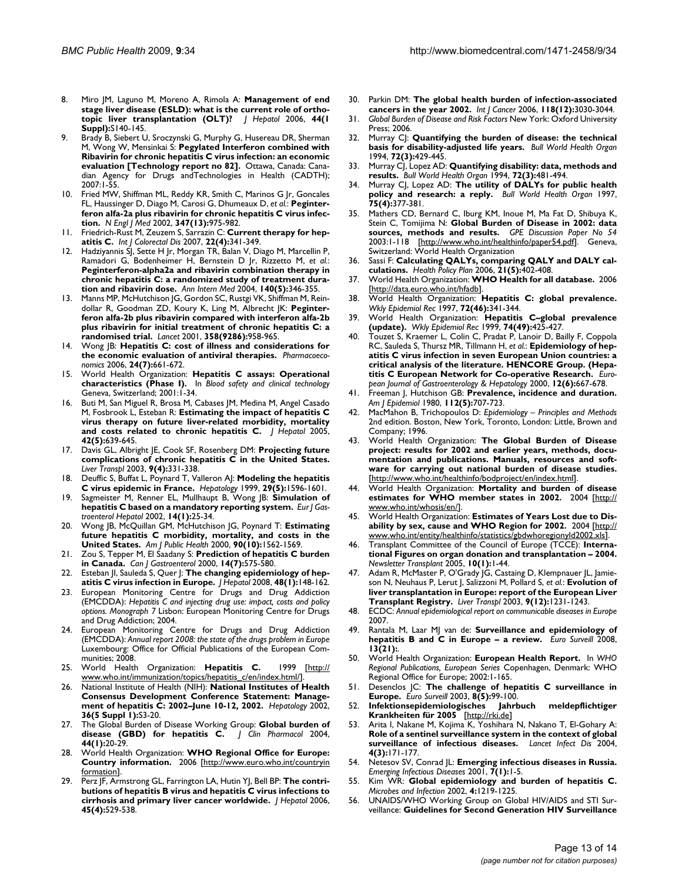- 8. Miro JM, Laguno M, Moreno A, Rimola A: **[Management of end](http://www.ncbi.nlm.nih.gov/entrez/query.fcgi?cmd=Retrieve&db=PubMed&dopt=Abstract&list_uids=16352366) [stage liver disease \(ESLD\): what is the current role of ortho](http://www.ncbi.nlm.nih.gov/entrez/query.fcgi?cmd=Retrieve&db=PubMed&dopt=Abstract&list_uids=16352366)[topic liver transplantation \(OLT\)?](http://www.ncbi.nlm.nih.gov/entrez/query.fcgi?cmd=Retrieve&db=PubMed&dopt=Abstract&list_uids=16352366)** *J Hepatol* 2006, **44(1 Suppl):**S140-145.
- 9. Brady B, Siebert U, Sroczynski G, Murphy G, Husereau DR, Sherman M, Wong W, Mensinkai S: **Pegylated Interferon combined with Ribavirin for chronic hepatitis C virus infection: an economic evaluation [Technology report no 82].** Ottawa, Canada: Canadian Agency for Drugs andTechnologies in Health (CADTH); 2007:1-55.
- 10. Fried MW, Shiffman ML, Reddy KR, Smith C, Marinos G Jr, Goncales FL, Haussinger D, Diago M, Carosi G, Dhumeaux D, *et al.*: **[Peginter](http://www.ncbi.nlm.nih.gov/entrez/query.fcgi?cmd=Retrieve&db=PubMed&dopt=Abstract&list_uids=12324553)[feron alfa-2a plus ribavirin for chronic hepatitis C virus infec](http://www.ncbi.nlm.nih.gov/entrez/query.fcgi?cmd=Retrieve&db=PubMed&dopt=Abstract&list_uids=12324553)[tion.](http://www.ncbi.nlm.nih.gov/entrez/query.fcgi?cmd=Retrieve&db=PubMed&dopt=Abstract&list_uids=12324553)** *N Engl J Med* 2002, **347(13):**975-982.
- 11. Friedrich-Rust M, Zeuzem S, Sarrazin C: **[Current therapy for hep](http://www.ncbi.nlm.nih.gov/entrez/query.fcgi?cmd=Retrieve&db=PubMed&dopt=Abstract&list_uids=16175369)[atitis C.](http://www.ncbi.nlm.nih.gov/entrez/query.fcgi?cmd=Retrieve&db=PubMed&dopt=Abstract&list_uids=16175369)** *Int J Colorectal Dis* 2007, **22(4):**341-349.
- Hadziyannis SJ, Sette H Jr, Morgan TR, Balan V, Diago M, Marcellin P, Ramadori G, Bodenheimer H, Bernstein D Jr, Rizzetto M, *et al.*: **[Peginterferon-alpha2a and ribavirin combination therapy in](http://www.ncbi.nlm.nih.gov/entrez/query.fcgi?cmd=Retrieve&db=PubMed&dopt=Abstract&list_uids=14996676) chronic hepatitis C: a randomized study of treatment dura[tion and ribavirin dose.](http://www.ncbi.nlm.nih.gov/entrez/query.fcgi?cmd=Retrieve&db=PubMed&dopt=Abstract&list_uids=14996676)** *Ann Intern Med* 2004, **140(5):**346-355.
- Manns MP, McHutchison JG, Gordon SC, Rustgi VK, Shiffman M, Reindollar R, Goodman ZD, Koury K, Ling M, Albrecht JK: **[Peginter](http://www.ncbi.nlm.nih.gov/entrez/query.fcgi?cmd=Retrieve&db=PubMed&dopt=Abstract&list_uids=11583749)[feron alfa-2b plus ribavirin compared with interferon alfa-2b](http://www.ncbi.nlm.nih.gov/entrez/query.fcgi?cmd=Retrieve&db=PubMed&dopt=Abstract&list_uids=11583749) plus ribavirin for initial treatment of chronic hepatitis C: a [randomised trial.](http://www.ncbi.nlm.nih.gov/entrez/query.fcgi?cmd=Retrieve&db=PubMed&dopt=Abstract&list_uids=11583749)** *Lancet* 2001, **358(9286):**958-965.
- 14. Wong JB: **[Hepatitis C: cost of illness and considerations for](http://www.ncbi.nlm.nih.gov/entrez/query.fcgi?cmd=Retrieve&db=PubMed&dopt=Abstract&list_uids=16802842) [the economic evaluation of antiviral therapies.](http://www.ncbi.nlm.nih.gov/entrez/query.fcgi?cmd=Retrieve&db=PubMed&dopt=Abstract&list_uids=16802842)** *Pharmacoeconomics* 2006, **24(7):**661-672.
- 15. World Health Organization: **Hepatitis C assays: Operational characteristics (Phase I).** In *Blood safety and clinical technology* Geneva, Switzerland; 2001:1-34.
- 16. Buti M, San Miguel R, Brosa M, Cabases JM, Medina M, Angel Casado M, Fosbrook L, Esteban R: **[Estimating the impact of hepatitis C](http://www.ncbi.nlm.nih.gov/entrez/query.fcgi?cmd=Retrieve&db=PubMed&dopt=Abstract&list_uids=15826711) [virus therapy on future liver-related morbidity, mortality](http://www.ncbi.nlm.nih.gov/entrez/query.fcgi?cmd=Retrieve&db=PubMed&dopt=Abstract&list_uids=15826711) [and costs related to chronic hepatitis C.](http://www.ncbi.nlm.nih.gov/entrez/query.fcgi?cmd=Retrieve&db=PubMed&dopt=Abstract&list_uids=15826711)** *J Hepatol* 2005, **42(5):**639-645.
- 17. Davis GL, Albright JE, Cook SF, Rosenberg DM: **[Projecting future](http://www.ncbi.nlm.nih.gov/entrez/query.fcgi?cmd=Retrieve&db=PubMed&dopt=Abstract&list_uids=12682882) [complications of chronic hepatitis C in the United States.](http://www.ncbi.nlm.nih.gov/entrez/query.fcgi?cmd=Retrieve&db=PubMed&dopt=Abstract&list_uids=12682882)** *Liver Transpl* 2003, **9(4):**331-338.
- 18. Deuffic S, Buffat L, Poynard T, Valleron AJ: **[Modeling the hepatitis](http://www.ncbi.nlm.nih.gov/entrez/query.fcgi?cmd=Retrieve&db=PubMed&dopt=Abstract&list_uids=10216148) [C virus epidemic in France.](http://www.ncbi.nlm.nih.gov/entrez/query.fcgi?cmd=Retrieve&db=PubMed&dopt=Abstract&list_uids=10216148)** *Hepatology* 1999, **29(5):**1596-1601.
- 19. Sagmeister M, Renner EL, Mullhaupt B, Wong JB: **[Simulation of](http://www.ncbi.nlm.nih.gov/entrez/query.fcgi?cmd=Retrieve&db=PubMed&dopt=Abstract&list_uids=11782572) [hepatitis C based on a mandatory reporting system.](http://www.ncbi.nlm.nih.gov/entrez/query.fcgi?cmd=Retrieve&db=PubMed&dopt=Abstract&list_uids=11782572)** *Eur J Gastroenterol Hepatol* 2002, **14(1):**25-34.
- 20. Wong JB, McQuillan GM, McHutchison JG, Poynard T: **[Estimating](http://www.ncbi.nlm.nih.gov/entrez/query.fcgi?cmd=Retrieve&db=PubMed&dopt=Abstract&list_uids=11029989) [future hepatitis C morbidity, mortality, and costs in the](http://www.ncbi.nlm.nih.gov/entrez/query.fcgi?cmd=Retrieve&db=PubMed&dopt=Abstract&list_uids=11029989) [United States.](http://www.ncbi.nlm.nih.gov/entrez/query.fcgi?cmd=Retrieve&db=PubMed&dopt=Abstract&list_uids=11029989)** *Am J Public Health* 2000, **90(10):**1562-1569.
- 21. Zou S, Tepper M, El Saadany S: **[Prediction of hepatitis C burden](http://www.ncbi.nlm.nih.gov/entrez/query.fcgi?cmd=Retrieve&db=PubMed&dopt=Abstract&list_uids=10978943) [in Canada.](http://www.ncbi.nlm.nih.gov/entrez/query.fcgi?cmd=Retrieve&db=PubMed&dopt=Abstract&list_uids=10978943)** *Can J Gastroenterol* 2000, **14(7):**575-580.
- 22. Esteban JI, Sauleda S, Quer J: **[The changing epidemiology of hep](http://www.ncbi.nlm.nih.gov/entrez/query.fcgi?cmd=Retrieve&db=PubMed&dopt=Abstract&list_uids=18022726)[atitis C virus infection in Europe.](http://www.ncbi.nlm.nih.gov/entrez/query.fcgi?cmd=Retrieve&db=PubMed&dopt=Abstract&list_uids=18022726)** *J Hepatol* 2008, **48(1):**148-162.
- 23. European Monitoring Centre for Drugs and Drug Addiction (EMCDDA): *Hepatitis C and injecting drug use: impact, costs and policy options. Monograph 7* Lisbon: European Monitoring Centre for Drugs and Drug Addiction; 2004.
- 24. European Monitoring Centre for Drugs and Drug Addiction (EMCDDA): *Annual report 2008: the state of the drugs problem in Europe* Luxembourg: Office for Official Publications of the European Communities; 2008.
- 25. World Health Organization: **Hepatitis C.** 1999 [[http://](http://www.who.int/immunization/topics/hepatitis_c/en/index.html/) [www.who.int/immunization/topics/hepatitis\\_c/en/index.html/](http://www.who.int/immunization/topics/hepatitis_c/en/index.html/)]
- 26. National Institute of Health (NIH): **[National Institutes of Health](http://www.ncbi.nlm.nih.gov/entrez/query.fcgi?cmd=Retrieve&db=PubMed&dopt=Abstract&list_uids=12407572) [Consensus Development Conference Statement: Manage](http://www.ncbi.nlm.nih.gov/entrez/query.fcgi?cmd=Retrieve&db=PubMed&dopt=Abstract&list_uids=12407572)[ment of hepatitis C: 2002–June 10-12, 2002.](http://www.ncbi.nlm.nih.gov/entrez/query.fcgi?cmd=Retrieve&db=PubMed&dopt=Abstract&list_uids=12407572)** *Hepatology* 2002, **36(5 Suppl 1):**S3-20.
- 27. The Global Burden of Disease Working Group: **[Global burden of](http://www.ncbi.nlm.nih.gov/entrez/query.fcgi?cmd=Retrieve&db=PubMed&dopt=Abstract&list_uids=14681338) [disease \(GBD\) for hepatitis C.](http://www.ncbi.nlm.nih.gov/entrez/query.fcgi?cmd=Retrieve&db=PubMed&dopt=Abstract&list_uids=14681338)** *J Clin Pharmacol* 2004, **44(1):**20-29.
- 28. World Health Organization: **WHO Regional Office for Europe: Country information.** 2006 [[http://www.euro.who.int/countryin](http://www.euro.who.int/countryinformation) [formation](http://www.euro.who.int/countryinformation)].
- Perz JF, Armstrong GL, Farrington LA, Hutin YJ, Bell BP: [The contri](http://www.ncbi.nlm.nih.gov/entrez/query.fcgi?cmd=Retrieve&db=PubMed&dopt=Abstract&list_uids=16879891)**[butions of hepatitis B virus and hepatitis C virus infections to](http://www.ncbi.nlm.nih.gov/entrez/query.fcgi?cmd=Retrieve&db=PubMed&dopt=Abstract&list_uids=16879891) [cirrhosis and primary liver cancer worldwide.](http://www.ncbi.nlm.nih.gov/entrez/query.fcgi?cmd=Retrieve&db=PubMed&dopt=Abstract&list_uids=16879891)** *J Hepatol* 2006, **45(4):**529-538.
- 30. Parkin DM: **[The global health burden of infection-associated](http://www.ncbi.nlm.nih.gov/entrez/query.fcgi?cmd=Retrieve&db=PubMed&dopt=Abstract&list_uids=16404738) [cancers in the year 2002.](http://www.ncbi.nlm.nih.gov/entrez/query.fcgi?cmd=Retrieve&db=PubMed&dopt=Abstract&list_uids=16404738)** *Int J Cancer* 2006, **118(12):**3030-3044.
- 31. *Global Burden of Disease and Risk Factors* New York: Oxford University Press; 2006.
- 32. Murray CJ: **[Quantifying the burden of disease: the technical](http://www.ncbi.nlm.nih.gov/entrez/query.fcgi?cmd=Retrieve&db=PubMed&dopt=Abstract&list_uids=8062401) [basis for disability-adjusted life years.](http://www.ncbi.nlm.nih.gov/entrez/query.fcgi?cmd=Retrieve&db=PubMed&dopt=Abstract&list_uids=8062401)** *Bull World Health Organ* 1994, **72(3):**429-445.
- 33. Murray CJ, Lopez AD: **[Quantifying disability: data, methods and](http://www.ncbi.nlm.nih.gov/entrez/query.fcgi?cmd=Retrieve&db=PubMed&dopt=Abstract&list_uids=8062403) [results.](http://www.ncbi.nlm.nih.gov/entrez/query.fcgi?cmd=Retrieve&db=PubMed&dopt=Abstract&list_uids=8062403)** *Bull World Health Organ* 1994, **72(3):**481-494.
- 34. Murray CJ, Lopez AD: **[The utility of DALYs for public health](http://www.ncbi.nlm.nih.gov/entrez/query.fcgi?cmd=Retrieve&db=PubMed&dopt=Abstract&list_uids=9342897) [policy and research: a reply.](http://www.ncbi.nlm.nih.gov/entrez/query.fcgi?cmd=Retrieve&db=PubMed&dopt=Abstract&list_uids=9342897)** *Bull World Health Organ* 1997, **75(4):**377-381.
- 35. Mathers CD, Bernard C, Iburg KM, Inoue M, Ma Fat D, Shibuya K, Stein C, Tomijima N: **Global Burden of Disease in 2002: data sources, methods and results.** *GPE Discussion Paper No 54* 2003:1-118 [\[http://www.who.int/healthinfo/paper54.pdf](http://www.who.int/healthinfo/paper54.pdf)]. Geneva, Switzerland: World Health Organization
- 36. Sassi F: **[Calculating QALYs, comparing QALY and DALY cal](http://www.ncbi.nlm.nih.gov/entrez/query.fcgi?cmd=Retrieve&db=PubMed&dopt=Abstract&list_uids=16877455)[culations.](http://www.ncbi.nlm.nih.gov/entrez/query.fcgi?cmd=Retrieve&db=PubMed&dopt=Abstract&list_uids=16877455)** *Health Policy Plan* 2006, **21(5):**402-408.
- 37. World Health Organization: **WHO Health for all database.** 2006 [[http://data.euro.who.int/hfadb\]](http://data.euro.who.int/hfadb)
- 38. World Health Organization: **[Hepatitis C: global prevalence.](http://www.ncbi.nlm.nih.gov/entrez/query.fcgi?cmd=Retrieve&db=PubMed&dopt=Abstract&list_uids=9385865)** *Wkly Epidemiol Rec* 1997, **72(46):**341-344.
- 39. World Health Organization: **[Hepatitis C–global prevalence](http://www.ncbi.nlm.nih.gov/entrez/query.fcgi?cmd=Retrieve&db=PubMed&dopt=Abstract&list_uids=10645164) [\(update\).](http://www.ncbi.nlm.nih.gov/entrez/query.fcgi?cmd=Retrieve&db=PubMed&dopt=Abstract&list_uids=10645164)** *Wkly Epidemiol Rec* 1999, **74(49):**425-427.
- 40. Touzet S, Kraemer L, Colin C, Pradat P, Lanoir D, Bailly F, Coppola RC, Sauleda S, Thursz MR, Tillmann H, *et al.*: **[Epidemiology of hep](http://www.ncbi.nlm.nih.gov/entrez/query.fcgi?cmd=Retrieve&db=PubMed&dopt=Abstract&list_uids=10912488)[atitis C virus infection in seven European Union countries: a](http://www.ncbi.nlm.nih.gov/entrez/query.fcgi?cmd=Retrieve&db=PubMed&dopt=Abstract&list_uids=10912488) critical analysis of the literature. HENCORE Group. (Hepa[titis C European Network for Co-operative Research.](http://www.ncbi.nlm.nih.gov/entrez/query.fcgi?cmd=Retrieve&db=PubMed&dopt=Abstract&list_uids=10912488)** *European Journal of Gastroenterology & Hepatology* 2000, **12(6):**667-678.
- 41. Freeman J, Hutchison GB: **[Prevalence, incidence and duration.](http://www.ncbi.nlm.nih.gov/entrez/query.fcgi?cmd=Retrieve&db=PubMed&dopt=Abstract&list_uids=6969024)** *Am J Epidemiol* 1980, **112(5):**707-723.
- 42. MacMahon B, Trichopoulos D: *Epidemiology Principles and Methods* 2nd edition. Boston, New York, Toronto, London: Little, Brown and Company; 1996.
- 43. World Health Organization: **The Global Burden of Disease project: results for 2002 and earlier years, methods, documentation and publications. Manuals, resources and software for carrying out national burden of disease studies.** [<http://www.who.int/healthinfo/bodproject/en/index.html>].
- 44. World Health Organization: **Mortality and burden of disease estimates for WHO member states in 2002.** 2004 [\[http://](http://www.who.int/whosis/en/) [www.who.int/whosis/en/](http://www.who.int/whosis/en/)].
- 45. World Health Organization: **Estimates of Years Lost due to Disability by sex, cause and WHO Region for 2002.** 2004 [\[http://](http://www.who.int/entity/healthinfo/statistics/gbdwhoregionyld2002.xls) www.who.int/entity/healthinfo/statistics/gbdwhoregionyld20
- 46. Transplant Committee of the Council of Europe (TCCE): **International Figures on organ donation and transplantation – 2004.** *Newsletter Transplant* 2005, **10(1):**1-44.
- 47. Adam R, McMaster P, O'Grady JG, Castaing D, Klempnauer JL, Jamieson N, Neuhaus P, Lerut J, Salizzoni M, Pollard S, *et al.*: **[Evolution of](http://www.ncbi.nlm.nih.gov/entrez/query.fcgi?cmd=Retrieve&db=PubMed&dopt=Abstract&list_uids=14625822) [liver transplantation in Europe: report of the European Liver](http://www.ncbi.nlm.nih.gov/entrez/query.fcgi?cmd=Retrieve&db=PubMed&dopt=Abstract&list_uids=14625822) [Transplant Registry.](http://www.ncbi.nlm.nih.gov/entrez/query.fcgi?cmd=Retrieve&db=PubMed&dopt=Abstract&list_uids=14625822)** *Liver Transpl* 2003, **9(12):**1231-1243.
- 48. ECDC: *Annual epidemiological report on communicable diseases in Europe* 2007.
- 49. Rantala M, Laar MJ van de: **[Surveillance and epidemiology of](http://www.ncbi.nlm.nih.gov/entrez/query.fcgi?cmd=Retrieve&db=PubMed&dopt=Abstract&list_uids=18761967) [hepatitis B and C in Europe – a review.](http://www.ncbi.nlm.nih.gov/entrez/query.fcgi?cmd=Retrieve&db=PubMed&dopt=Abstract&list_uids=18761967)** *Euro Surveill* 2008, **13(21):**.
- 50. World Health Organization: **European Health Report.** In *WHO Regional Publications, European Series* Copenhagen, Denmark: WHO Regional Office for Europe; 2002:1-165.
- 51. Desenclos JC: **[The challenge of hepatitis C surveillance in](http://www.ncbi.nlm.nih.gov/entrez/query.fcgi?cmd=Retrieve&db=PubMed&dopt=Abstract&list_uids=12799475) [Europe.](http://www.ncbi.nlm.nih.gov/entrez/query.fcgi?cmd=Retrieve&db=PubMed&dopt=Abstract&list_uids=12799475)** *Euro Surveill* 2003, **8(5):**99-100.
- 52. **Infektionsepidemiologisches Jahrbuch meldepflichtiger Krankheiten für 2005** [\[http://rki.de](http://rki.de)]
- 53. Arita I, Nakane M, Kojima K, Yoshihara N, Nakano T, El-Gohary A: **[Role of a sentinel surveillance system in the context of global](http://www.ncbi.nlm.nih.gov/entrez/query.fcgi?cmd=Retrieve&db=PubMed&dopt=Abstract&list_uids=14998504) [surveillance of infectious diseases.](http://www.ncbi.nlm.nih.gov/entrez/query.fcgi?cmd=Retrieve&db=PubMed&dopt=Abstract&list_uids=14998504)** *Lancet Infect Dis* 2004, **4(3):**171-177.
- 54. Netesov SV, Conrad JL: **[Emerging infectious diseases in Russia.](http://www.ncbi.nlm.nih.gov/entrez/query.fcgi?cmd=Retrieve&db=PubMed&dopt=Abstract&list_uids=11266288)** *Emerging Infectious Diseases* 2001, **7(1):**1-5.
- 55. Kim WR: **Global epidemiology and burden of hepatitis C.** *Microbes and Infection* 2002, **4:**1219-1225.
- 56. UNAIDS/WHO Working Group on Global HIV/AIDS and STI Surveillance: **Guidelines for Second Generation HIV Surveillance**